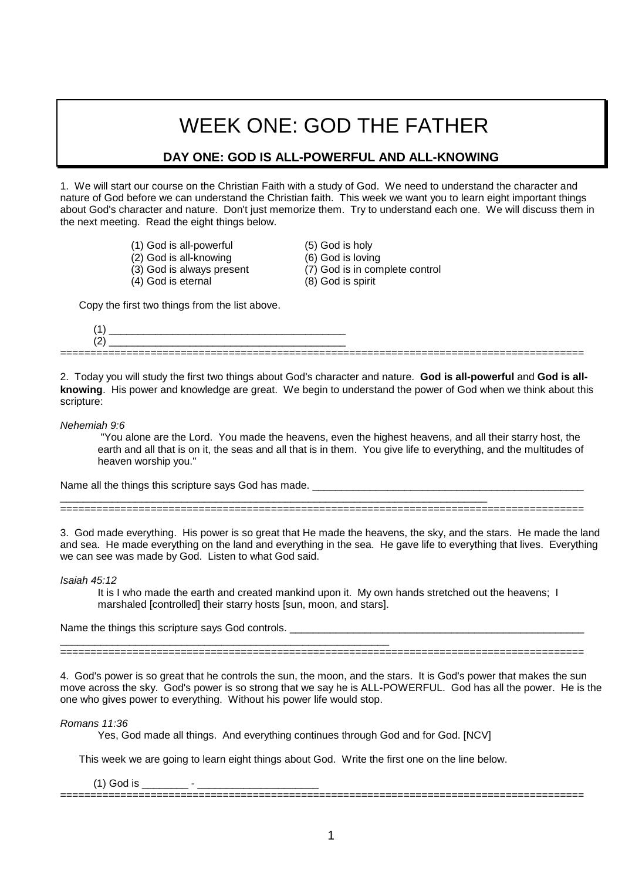# WEEK ONE: GOD THE FATHER

## **DAY ONE: GOD IS ALL-POWERFUL AND ALL-KNOWING**

1. We will start our course on the Christian Faith with a study of God. We need to understand the character and nature of God before we can understand the Christian faith. This week we want you to learn eight important things about God's character and nature. Don't just memorize them. Try to understand each one. We will discuss them in the next meeting. Read the eight things below.

- 
- (1) God is all-powerful (5) God is holy<br>(2) God is all-knowing (6) God is loving  $(2)$  God is all-knowing
- 
- (4) God is eternal (8) God is spirit

- 
- (3) God is always present (7) God is in complete control
	-

Copy the first two things from the list above.

 $(1)$   $\overline{\phantom{a}}$  (2) \_\_\_\_\_\_\_\_\_\_\_\_\_\_\_\_\_\_\_\_\_\_\_\_\_\_\_\_\_\_\_\_\_\_\_\_\_\_\_\_\_ =======================================================================================

2. Today you will study the first two things about God's character and nature. **God is all-powerful** and **God is allknowing**. His power and knowledge are great. We begin to understand the power of God when we think about this scripture:

### Nehemiah 9:6

 "You alone are the Lord. You made the heavens, even the highest heavens, and all their starry host, the earth and all that is on it, the seas and all that is in them. You give life to everything, and the multitudes of heaven worship you."

Name all the things this scripture says God has made. \_\_\_\_\_\_\_\_\_\_\_\_\_\_\_\_\_\_\_\_\_\_\_\_\_\_

=======================================================================================

\_\_\_\_\_\_\_\_\_\_\_\_\_\_\_\_\_\_\_\_\_\_\_\_\_\_\_\_\_\_\_\_\_\_\_\_\_\_\_\_\_\_\_\_\_\_\_\_\_\_\_\_\_\_\_\_\_\_\_\_\_\_\_\_\_\_\_\_\_\_\_\_\_\_

3. God made everything. His power is so great that He made the heavens, the sky, and the stars. He made the land and sea. He made everything on the land and everything in the sea. He gave life to everything that lives. Everything we can see was made by God. Listen to what God said.

Isaiah 45:12

It is I who made the earth and created mankind upon it. My own hands stretched out the heavens; I marshaled [controlled] their starry hosts [sun, moon, and stars].

Name the things this scripture says God controls.

\_\_\_\_\_\_\_\_\_\_\_\_\_\_\_\_\_\_\_\_\_\_\_\_\_\_\_\_\_\_\_\_\_\_\_\_\_\_\_\_\_\_\_\_\_\_\_\_\_\_\_\_\_\_\_\_\_

=======================================================================================

4. God's power is so great that he controls the sun, the moon, and the stars. It is God's power that makes the sun move across the sky. God's power is so strong that we say he is ALL-POWERFUL. God has all the power. He is the one who gives power to everything. Without his power life would stop.

Romans 11:36

Yes, God made all things. And everything continues through God and for God. [NCV]

This week we are going to learn eight things about God. Write the first one on the line below.

 (1) God is \_\_\_\_\_\_\_\_ - \_\_\_\_\_\_\_\_\_\_\_\_\_\_\_\_\_\_\_\_\_ =======================================================================================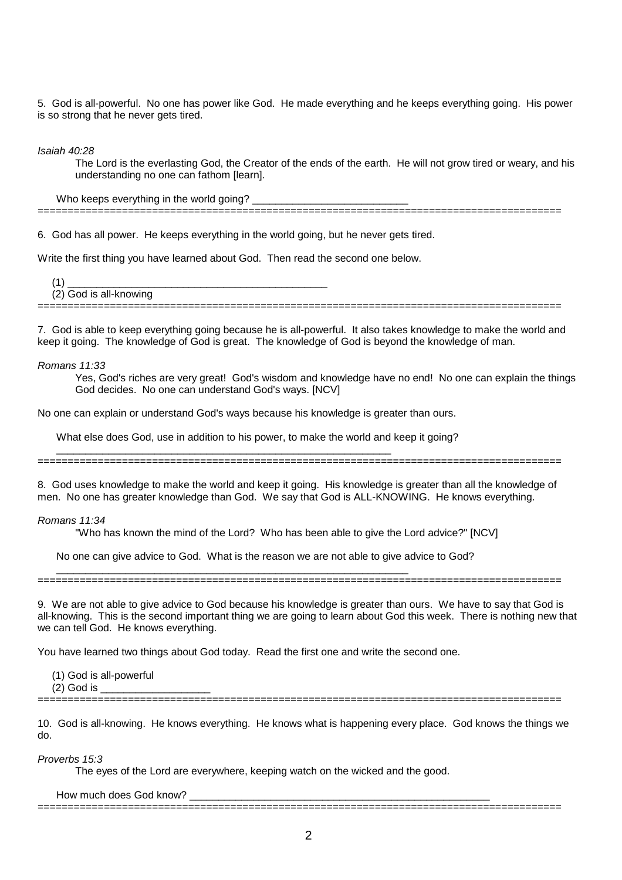5. God is all-powerful. No one has power like God. He made everything and he keeps everything going. His power is so strong that he never gets tired.

Isaiah 40:28

The Lord is the everlasting God, the Creator of the ends of the earth. He will not grow tired or weary, and his understanding no one can fathom [learn].

Who keeps everything in the world going? \_

=======================================================================================

6. God has all power. He keeps everything in the world going, but he never gets tired.

Write the first thing you have learned about God. Then read the second one below.

| (2) God is all-knowing |  |  |
|------------------------|--|--|

=======================================================================================

7. God is able to keep everything going because he is all-powerful. It also takes knowledge to make the world and keep it going. The knowledge of God is great. The knowledge of God is beyond the knowledge of man.

Romans 11:33

Yes, God's riches are very great! God's wisdom and knowledge have no end! No one can explain the things God decides. No one can understand God's ways. [NCV]

No one can explain or understand God's ways because his knowledge is greater than ours.

\_\_\_\_\_\_\_\_\_\_\_\_\_\_\_\_\_\_\_\_\_\_\_\_\_\_\_\_\_\_\_\_\_\_\_\_\_\_\_\_\_\_\_\_\_\_\_\_\_\_\_\_\_\_\_\_\_\_

What else does God, use in addition to his power, to make the world and keep it going?

=======================================================================================

8. God uses knowledge to make the world and keep it going. His knowledge is greater than all the knowledge of men. No one has greater knowledge than God. We say that God is ALL-KNOWING. He knows everything.

#### Romans 11:34

"Who has known the mind of the Lord? Who has been able to give the Lord advice?" [NCV]

No one can give advice to God. What is the reason we are not able to give advice to God?

=======================================================================================

9. We are not able to give advice to God because his knowledge is greater than ours. We have to say that God is all-knowing. This is the second important thing we are going to learn about God this week. There is nothing new that we can tell God. He knows everything.

You have learned two things about God today. Read the first one and write the second one.

\_\_\_\_\_\_\_\_\_\_\_\_\_\_\_\_\_\_\_\_\_\_\_\_\_\_\_\_\_\_\_\_\_\_\_\_\_\_\_\_\_\_\_\_\_\_\_\_\_\_\_\_\_\_\_\_\_\_\_\_\_

- (1) God is all-powerful
- (2) God is \_\_\_\_\_\_\_\_\_\_\_\_\_\_\_\_\_\_\_

=======================================================================================

10. God is all-knowing. He knows everything. He knows what is happening every place. God knows the things we do.

#### Proverbs 15:3

The eyes of the Lord are everywhere, keeping watch on the wicked and the good.

How much does God know?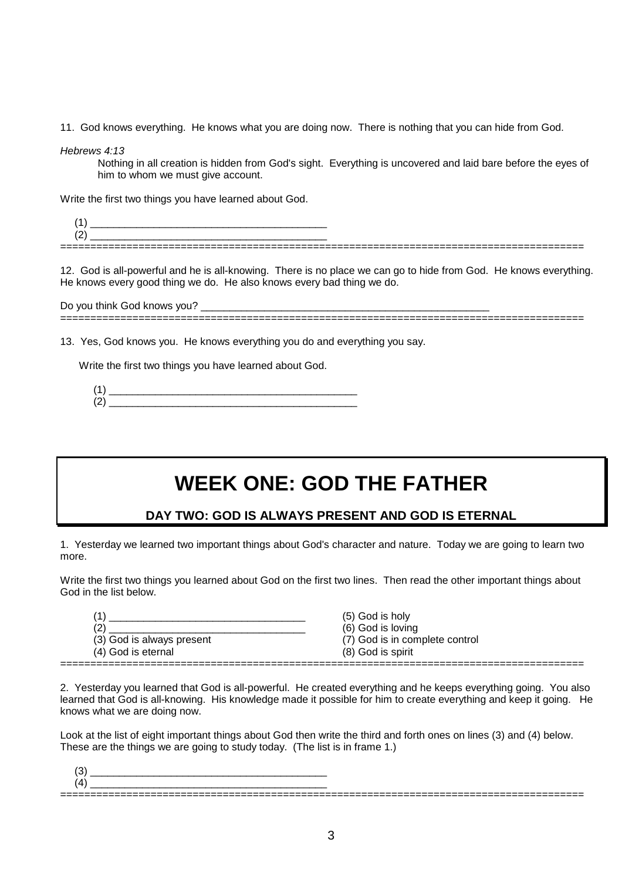11. God knows everything. He knows what you are doing now. There is nothing that you can hide from God.

Hebrews 4:13

Nothing in all creation is hidden from God's sight. Everything is uncovered and laid bare before the eyes of him to whom we must give account.

Write the first two things you have learned about God.

12. God is all-powerful and he is all-knowing. There is no place we can go to hide from God. He knows everything. He knows every good thing we do. He also knows every bad thing we do.

Do you think God knows you? =======================================================================================

13. Yes, God knows you. He knows everything you do and everything you say.

Write the first two things you have learned about God.

## **WEEK ONE: GOD THE FATHER**

### **DAY TWO: GOD IS ALWAYS PRESENT AND GOD IS ETERNAL**

1. Yesterday we learned two important things about God's character and nature. Today we are going to learn two more.

Write the first two things you learned about God on the first two lines. Then read the other important things about God in the list below.

| $\sqrt{2}$<br>(3) God is always present<br>(4) God is eternal | $(5)$ God is holy<br>(6) God is loving<br>(7) God is in complete control<br>(8) God is spirit |  |
|---------------------------------------------------------------|-----------------------------------------------------------------------------------------------|--|
|                                                               |                                                                                               |  |

2. Yesterday you learned that God is all-powerful. He created everything and he keeps everything going. You also learned that God is all-knowing. His knowledge made it possible for him to create everything and keep it going. He knows what we are doing now.

Look at the list of eight important things about God then write the third and forth ones on lines (3) and (4) below. These are the things we are going to study today. (The list is in frame 1.)

 (3) \_\_\_\_\_\_\_\_\_\_\_\_\_\_\_\_\_\_\_\_\_\_\_\_\_\_\_\_\_\_\_\_\_\_\_\_\_\_\_\_\_  $(4)$ =======================================================================================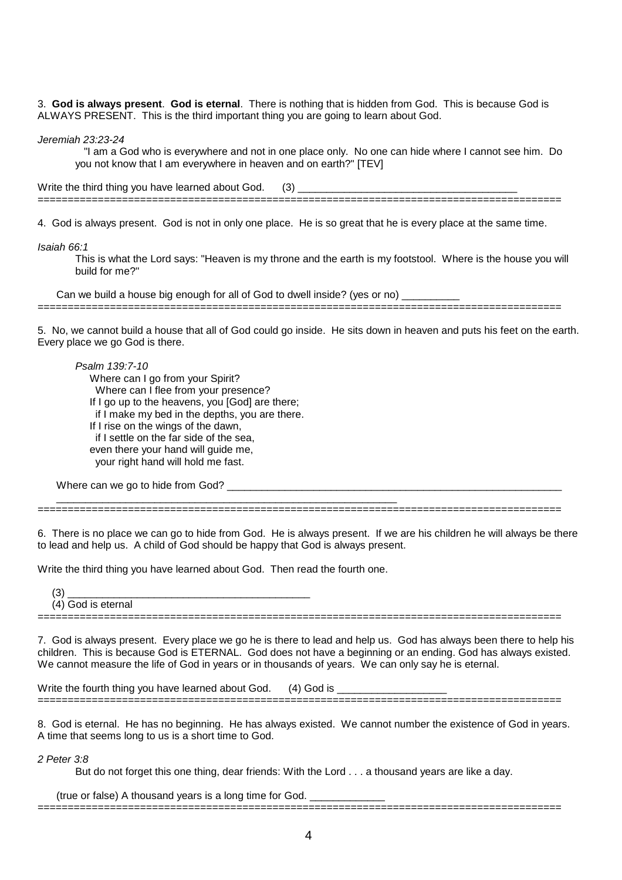3. **God is always present**. **God is eternal**. There is nothing that is hidden from God. This is because God is ALWAYS PRESENT. This is the third important thing you are going to learn about God.

Jeremiah 23:23-24

 "I am a God who is everywhere and not in one place only. No one can hide where I cannot see him. Do you not know that I am everywhere in heaven and on earth?" [TEV]

Write the third thing you have learned about God. (3) \_\_\_\_\_\_ =======================================================================================

4. God is always present. God is not in only one place. He is so great that he is every place at the same time.

#### Isaiah 66:1

This is what the Lord says: "Heaven is my throne and the earth is my footstool. Where is the house you will build for me?"

Can we build a house big enough for all of God to dwell inside? (yes or no) \_\_\_\_\_\_\_\_\_\_

5. No, we cannot build a house that all of God could go inside. He sits down in heaven and puts his feet on the earth. Every place we go God is there.

=======================================================================================

Psalm 139:7-10 Where can I go from your Spirit? Where can I flee from your presence? If I go up to the heavens, you [God] are there; if I make my bed in the depths, you are there. If I rise on the wings of the dawn, if I settle on the far side of the sea, even there your hand will guide me, your right hand will hold me fast.

Where can we go to hide from God?

=======================================================================================

6. There is no place we can go to hide from God. He is always present. If we are his children he will always be there to lead and help us. A child of God should be happy that God is always present.

Write the third thing you have learned about God. Then read the fourth one.

\_\_\_\_\_\_\_\_\_\_\_\_\_\_\_\_\_\_\_\_\_\_\_\_\_\_\_\_\_\_\_\_\_\_\_\_\_\_\_\_\_\_\_\_\_\_\_\_\_\_\_\_\_\_\_\_\_\_\_

| eternai<br>God<br>.4'<br>$\overline{1}$ |
|-----------------------------------------|
|                                         |

7. God is always present. Every place we go he is there to lead and help us. God has always been there to help his children. This is because God is ETERNAL. God does not have a beginning or an ending. God has always existed. We cannot measure the life of God in years or in thousands of years. We can only say he is eternal.

Write the fourth thing you have learned about God. (4) God is \_\_\_\_\_\_\_\_\_\_\_\_\_\_\_\_\_\_ =======================================================================================

8. God is eternal. He has no beginning. He has always existed. We cannot number the existence of God in years. A time that seems long to us is a short time to God.

### 2 Peter 3:8

But do not forget this one thing, dear friends: With the Lord . . . a thousand years are like a day.

(true or false) A thousand years is a long time for God.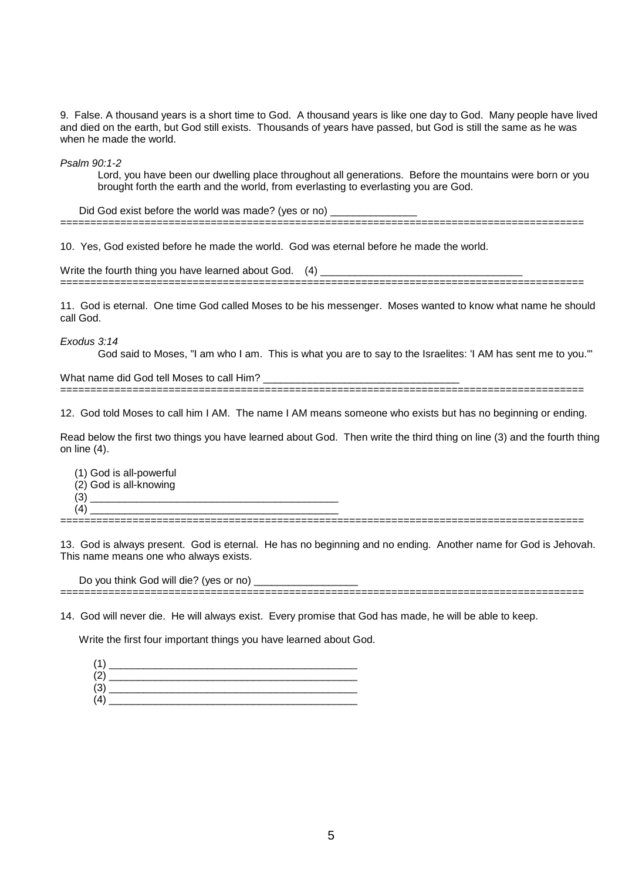9. False. A thousand years is a short time to God. A thousand years is like one day to God. Many people have lived and died on the earth, but God still exists. Thousands of years have passed, but God is still the same as he was when he made the world.

Psalm 90:1-2

Lord, you have been our dwelling place throughout all generations. Before the mountains were born or you brought forth the earth and the world, from everlasting to everlasting you are God.

Did God exist before the world was made? (yes or no) \_\_\_\_\_\_\_\_\_\_\_\_\_\_\_ =======================================================================================

10. Yes, God existed before he made the world. God was eternal before he made the world.

Write the fourth thing you have learned about God. (4)\_\_\_\_\_\_\_\_\_\_\_\_\_\_\_\_\_\_\_\_\_\_\_\_\_\_\_

=======================================================================================

11. God is eternal. One time God called Moses to be his messenger. Moses wanted to know what name he should call God.

Exodus 3:14

God said to Moses, "I am who I am. This is what you are to say to the Israelites: 'I AM has sent me to you.'"

What name did God tell Moses to call Him? \_\_\_\_\_\_\_\_\_\_\_\_\_\_\_\_\_\_\_\_\_\_\_\_\_\_\_\_\_\_\_\_\_\_

=======================================================================================

12. God told Moses to call him I AM. The name I AM means someone who exists but has no beginning or ending.

Read below the first two things you have learned about God. Then write the third thing on line (3) and the fourth thing on line (4).

 (1) God is all-powerful (2) God is all-knowing (3) \_\_\_\_\_\_\_\_\_\_\_\_\_\_\_\_\_\_\_\_\_\_\_\_\_\_\_\_\_\_\_\_\_\_\_\_\_\_\_\_\_\_\_ (4) \_\_\_\_\_\_\_\_\_\_\_\_\_\_\_\_\_\_\_\_\_\_\_\_\_\_\_\_\_\_\_\_\_\_\_\_\_\_\_\_\_\_\_ =======================================================================================

13. God is always present. God is eternal. He has no beginning and no ending. Another name for God is Jehovah. This name means one who always exists.

Do you think God will die? (yes or no) =======================================================================================

14. God will never die. He will always exist. Every promise that God has made, he will be able to keep.

Write the first four important things you have learned about God.

| .,<br>. |  |  |  |
|---------|--|--|--|
|         |  |  |  |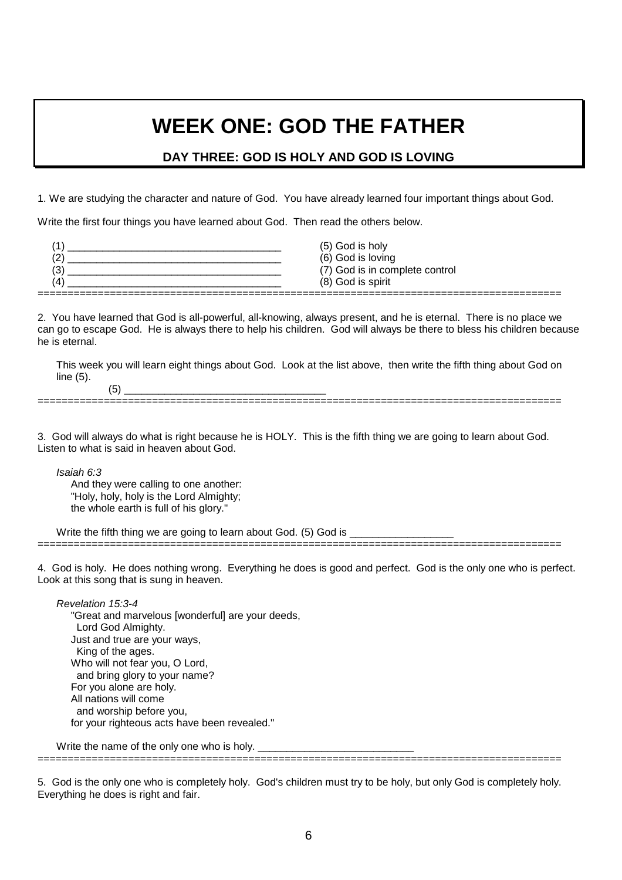# **WEEK ONE: GOD THE FATHER**

### **DAY THREE: GOD IS HOLY AND GOD IS LOVING**

1. We are studying the character and nature of God. You have already learned four important things about God.

Write the first four things you have learned about God. Then read the others below.

| ĥ  | (5) God is holy                |
|----|--------------------------------|
| -  | (6) God is loving              |
| ົດ | (7) God is in complete control |
| ◡  | (8) God is spirit              |
|    |                                |

2. You have learned that God is all-powerful, all-knowing, always present, and he is eternal. There is no place we can go to escape God. He is always there to help his children. God will always be there to bless his children because he is eternal.

This week you will learn eight things about God. Look at the list above, then write the fifth thing about God on line (5).

3. God will always do what is right because he is HOLY. This is the fifth thing we are going to learn about God. Listen to what is said in heaven about God.

Isaiah 6:3

 And they were calling to one another: "Holy, holy, holy is the Lord Almighty; the whole earth is full of his glory."

Write the fifth thing we are going to learn about God. (5) God is

=======================================================================================

4. God is holy. He does nothing wrong. Everything he does is good and perfect. God is the only one who is perfect. Look at this song that is sung in heaven.

Revelation 15:3-4 "Great and marvelous [wonderful] are your deeds, Lord God Almighty. Just and true are your ways, King of the ages. Who will not fear you, O Lord, and bring glory to your name? For you alone are holy. All nations will come and worship before you, for your righteous acts have been revealed."

Write the name of the only one who is holy.

5. God is the only one who is completely holy. God's children must try to be holy, but only God is completely holy. Everything he does is right and fair.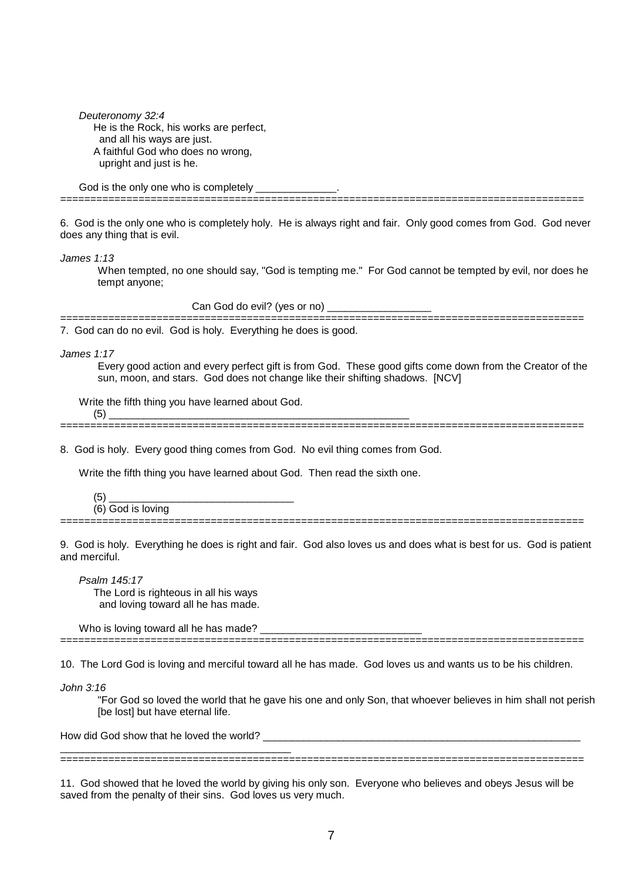Deuteronomy 32:4 He is the Rock, his works are perfect, and all his ways are just. A faithful God who does no wrong, upright and just is he.

God is the only one who is completely

=======================================================================================

6. God is the only one who is completely holy. He is always right and fair. Only good comes from God. God never does any thing that is evil.

James 1:13

When tempted, no one should say, "God is tempting me." For God cannot be tempted by evil, nor does he tempt anyone;

Can God do evil? (yes or no) \_\_\_\_\_\_\_\_\_\_\_\_\_\_\_\_\_\_

======================================================================================= 7. God can do no evil. God is holy. Everything he does is good.

James 1:17

Every good action and every perfect gift is from God. These good gifts come down from the Creator of the sun, moon, and stars. God does not change like their shifting shadows. [NCV]

Write the fifth thing you have learned about God.

 (5) \_\_\_\_\_\_\_\_\_\_\_\_\_\_\_\_\_\_\_\_\_\_\_\_\_\_\_\_\_\_\_\_\_\_\_\_\_\_\_\_\_\_\_\_\_\_\_\_\_\_\_\_ =======================================================================================

8. God is holy. Every good thing comes from God. No evil thing comes from God.

Write the fifth thing you have learned about God. Then read the sixth one.

 (5) \_\_\_\_\_\_\_\_\_\_\_\_\_\_\_\_\_\_\_\_\_\_\_\_\_\_\_\_\_\_\_\_  $(6)$  God is loving =======================================================================================

9. God is holy. Everything he does is right and fair. God also loves us and does what is best for us. God is patient and merciful.

Psalm 145:17

 The Lord is righteous in all his ways and loving toward all he has made.

Who is loving toward all he has made?

=======================================================================================

10. The Lord God is loving and merciful toward all he has made. God loves us and wants us to be his children.

John 3:16

"For God so loved the world that he gave his one and only Son, that whoever believes in him shall not perish [be lost] but have eternal life.

=======================================================================================

How did God show that he loved the world?  $\Box$ 

\_\_\_\_\_\_\_\_\_\_\_\_\_\_\_\_\_\_\_\_\_\_\_\_\_\_\_\_\_\_\_\_\_\_\_\_\_\_\_\_

11. God showed that he loved the world by giving his only son. Everyone who believes and obeys Jesus will be saved from the penalty of their sins. God loves us very much.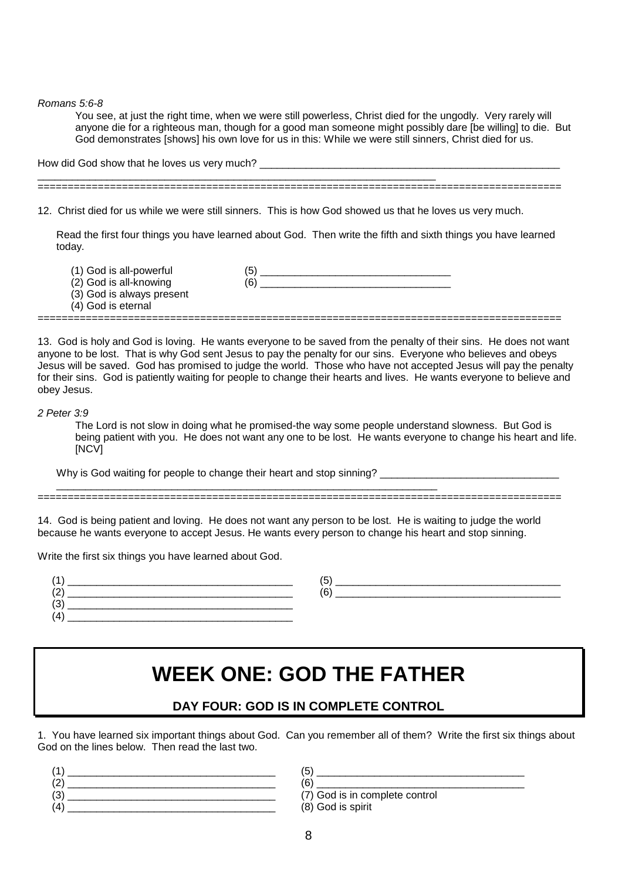Romans 5:6-8

You see, at just the right time, when we were still powerless, Christ died for the ungodly. Very rarely will anyone die for a righteous man, though for a good man someone might possibly dare [be willing] to die. But God demonstrates [shows] his own love for us in this: While we were still sinners, Christ died for us.

| How did God show that he loves us very much? |  |
|----------------------------------------------|--|
|                                              |  |

=======================================================================================

12. Christ died for us while we were still sinners. This is how God showed us that he loves us very much.

Read the first four things you have learned about God. Then write the fifth and sixth things you have learned today.

|  |  | (1) God is all-powerful<br>(2) God is all-knowing<br>(3) God is always present<br>(4) God is eternal | (5<br>ί6 |
|--|--|------------------------------------------------------------------------------------------------------|----------|
|--|--|------------------------------------------------------------------------------------------------------|----------|

13. God is holy and God is loving. He wants everyone to be saved from the penalty of their sins. He does not want anyone to be lost. That is why God sent Jesus to pay the penalty for our sins. Everyone who believes and obeys Jesus will be saved. God has promised to judge the world. Those who have not accepted Jesus will pay the penalty for their sins. God is patiently waiting for people to change their hearts and lives. He wants everyone to believe and obey Jesus.

#### 2 Peter 3:9

The Lord is not slow in doing what he promised-the way some people understand slowness. But God is being patient with you. He does not want any one to be lost. He wants everyone to change his heart and life. [NCV]

Why is God waiting for people to change their heart and stop sinning?

\_\_\_\_\_\_\_\_\_\_\_\_\_\_\_\_\_\_\_\_\_\_\_\_\_\_\_\_\_\_\_\_\_\_\_\_\_\_\_\_\_\_\_\_\_\_\_\_\_\_\_\_\_\_\_\_\_\_\_\_\_\_\_\_\_\_

=======================================================================================

14. God is being patient and loving. He does not want any person to be lost. He is waiting to judge the world because he wants everyone to accept Jesus. He wants every person to change his heart and stop sinning.

Write the first six things you have learned about God.

## **WEEK ONE: GOD THE FATHER**

### **DAY FOUR: GOD IS IN COMPLETE CONTROL**

1. You have learned six important things about God. Can you remember all of them? Write the first six things about God on the lines below. Then read the last two.

- (1) \_\_\_\_\_\_\_\_\_\_\_\_\_\_\_\_\_\_\_\_\_\_\_\_\_\_\_\_\_\_\_\_\_\_\_\_ (5) \_\_\_\_\_\_\_\_\_\_\_\_\_\_\_\_\_\_\_\_\_\_\_\_\_\_\_\_\_\_\_\_\_\_\_\_
	- $(2)$   $(3)$   $(3)$   $(4)$   $(5)$   $(6)$   $(7)$  God is in complete control (3)  $\sim$  0.3)  $\sim$  0.3)  $\sim$  0.3)  $\sim$  0.3)  $\sim$  0.3)  $\sim$  0.3)  $\sim$  0.3)  $\sim$  0.4)  $\sim$  0.4)  $\sim$  0.4)  $\sim$  0.4)  $\sim$  0.4)  $\sim$  0.4)  $\sim$  0.4)  $\sim$  0.4)  $\sim$  0.4)  $\sim$  0.4)  $\sim$  0.4)  $\sim$  0.4)  $\sim$  0.4)  $\sim$  0.4)  $\sim$  0.
	- $(4)$   $(8)$  God is spirit
- 
- -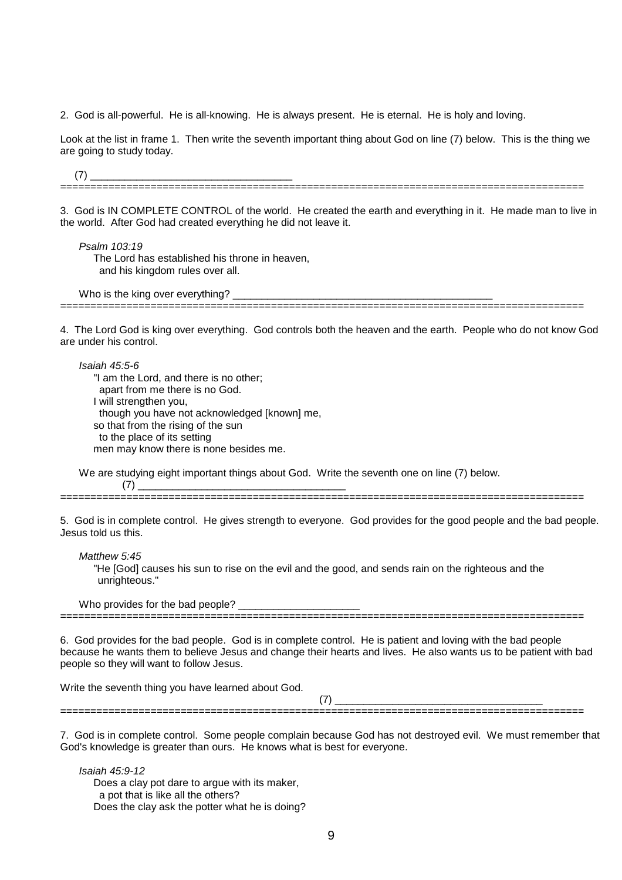2. God is all-powerful. He is all-knowing. He is always present. He is eternal. He is holy and loving.

Look at the list in frame 1. Then write the seventh important thing about God on line (7) below. This is the thing we are going to study today.

 $(7)$ =======================================================================================

3. God is IN COMPLETE CONTROL of the world. He created the earth and everything in it. He made man to live in the world. After God had created everything he did not leave it.

Psalm 103:19 The Lord has established his throne in heaven, and his kingdom rules over all.

Who is the king over everything?

=======================================================================================

4. The Lord God is king over everything. God controls both the heaven and the earth. People who do not know God are under his control.

Isaiah 45:5-6 "I am the Lord, and there is no other; apart from me there is no God. I will strengthen you, though you have not acknowledged [known] me, so that from the rising of the sun to the place of its setting men may know there is none besides me.

We are studying eight important things about God. Write the seventh one on line (7) below.

(7) \_\_\_\_\_\_\_\_\_\_\_\_\_\_\_\_\_\_\_\_\_\_\_\_\_\_\_\_\_\_\_\_\_\_\_\_

=======================================================================================

5. God is in complete control. He gives strength to everyone. God provides for the good people and the bad people. Jesus told us this.

Matthew 5:45

 "He [God] causes his sun to rise on the evil and the good, and sends rain on the righteous and the unrighteous."

=======================================================================================

Who provides for the bad people?

6. God provides for the bad people. God is in complete control. He is patient and loving with the bad people because he wants them to believe Jesus and change their hearts and lives. He also wants us to be patient with bad people so they will want to follow Jesus.

Write the seventh thing you have learned about God.

 (7) \_\_\_\_\_\_\_\_\_\_\_\_\_\_\_\_\_\_\_\_\_\_\_\_\_\_\_\_\_\_\_\_\_\_\_\_ =======================================================================================

7. God is in complete control. Some people complain because God has not destroyed evil. We must remember that God's knowledge is greater than ours. He knows what is best for everyone.

Isaiah 45:9-12 Does a clay pot dare to argue with its maker, a pot that is like all the others? Does the clay ask the potter what he is doing?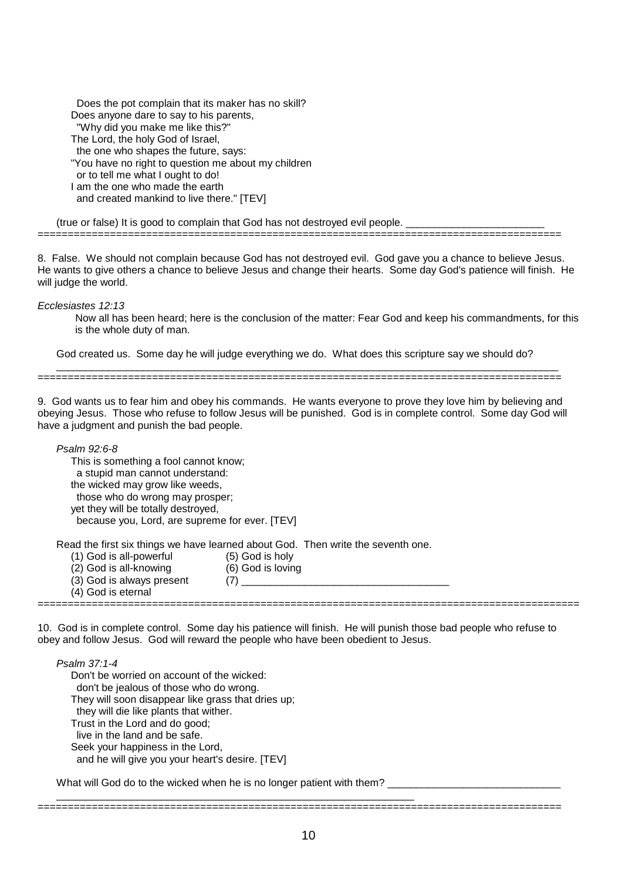Does the pot complain that its maker has no skill? Does anyone dare to say to his parents, "Why did you make me like this?" The Lord, the holy God of Israel, the one who shapes the future, says: "You have no right to question me about my children or to tell me what I ought to do! I am the one who made the earth and created mankind to live there." [TEV]

(true or false) It is good to complain that God has not destroyed evil people. \_\_\_\_\_\_\_\_\_\_\_\_\_\_\_\_\_\_\_\_\_\_\_\_

8. False. We should not complain because God has not destroyed evil. God gave you a chance to believe Jesus. He wants to give others a chance to believe Jesus and change their hearts. Some day God's patience will finish. He will judge the world.

=======================================================================================

Ecclesiastes 12:13

Now all has been heard; here is the conclusion of the matter: Fear God and keep his commandments, for this is the whole duty of man.

God created us. Some day he will judge everything we do. What does this scripture say we should do?

\_\_\_\_\_\_\_\_\_\_\_\_\_\_\_\_\_\_\_\_\_\_\_\_\_\_\_\_\_\_\_\_\_\_\_\_\_\_\_\_\_\_\_\_\_\_\_\_\_\_\_\_\_\_\_\_\_\_\_\_\_\_\_\_\_\_\_\_\_\_\_\_\_\_\_\_\_\_\_\_\_\_\_\_\_\_\_ =======================================================================================

9. God wants us to fear him and obey his commands. He wants everyone to prove they love him by believing and obeying Jesus. Those who refuse to follow Jesus will be punished. God is in complete control. Some day God will have a judgment and punish the bad people.

Psalm 92:6-8 This is something a fool cannot know; a stupid man cannot understand: the wicked may grow like weeds, those who do wrong may prosper; yet they will be totally destroyed, because you, Lord, are supreme for ever. [TEV]

Read the first six things we have learned about God. Then write the seventh one.

(1) God is all-powerful (5) God is holy

- (2) God is all-knowing (6) God is loving
- $(3)$  God is always present  $(7)$
- (4) God is eternal

10. God is in complete control. Some day his patience will finish. He will punish those bad people who refuse to obey and follow Jesus. God will reward the people who have been obedient to Jesus.

==========================================================================================

Psalm 37:1-4 Don't be worried on account of the wicked: don't be jealous of those who do wrong. They will soon disappear like grass that dries up; they will die like plants that wither. Trust in the Lord and do good; live in the land and be safe. Seek your happiness in the Lord, and he will give you your heart's desire. [TEV]

What will God do to the wicked when he is no longer patient with them?

\_\_\_\_\_\_\_\_\_\_\_\_\_\_\_\_\_\_\_\_\_\_\_\_\_\_\_\_\_\_\_\_\_\_\_\_\_\_\_\_\_\_\_\_\_\_\_\_\_\_\_\_\_\_\_\_\_\_\_\_\_\_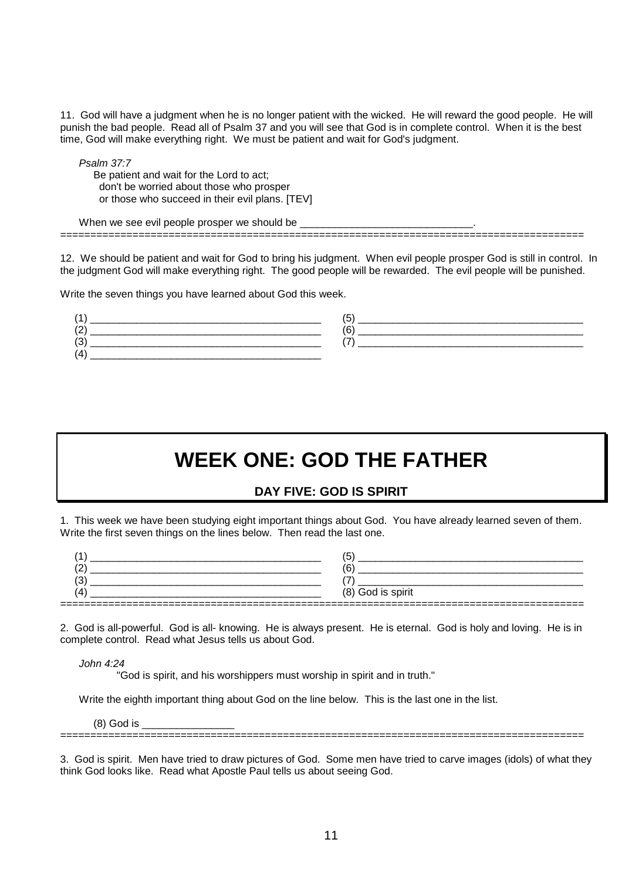11. God will have a judgment when he is no longer patient with the wicked. He will reward the good people. He will punish the bad people. Read all of Psalm 37 and you will see that God is in complete control. When it is the best time, God will make everything right. We must be patient and wait for God's judgment.

Psalm 37:7 Be patient and wait for the Lord to act; don't be worried about those who prosper or those who succeed in their evil plans. [TEV]

When we see evil people prosper we should be

12. We should be patient and wait for God to bring his judgment. When evil people prosper God is still in control. In the judgment God will make everything right. The good people will be rewarded. The evil people will be punished.

=======================================================================================

Write the seven things you have learned about God this week.

## **WEEK ONE: GOD THE FATHER**

### **DAY FIVE: GOD IS SPIRIT**

1. This week we have been studying eight important things about God. You have already learned seven of them. Write the first seven things on the lines below. Then read the last one.

| .<br>.   |                   |     |
|----------|-------------------|-----|
| ╰        |                   |     |
|          | (8) God is spirit |     |
| ________ |                   | ___ |

2. God is all-powerful. God is all- knowing. He is always present. He is eternal. God is holy and loving. He is in complete control. Read what Jesus tells us about God.

John 4:24

"God is spirit, and his worshippers must worship in spirit and in truth."

Write the eighth important thing about God on the line below. This is the last one in the list.

 $(8)$  God is

=======================================================================================

3. God is spirit. Men have tried to draw pictures of God. Some men have tried to carve images (idols) of what they think God looks like. Read what Apostle Paul tells us about seeing God.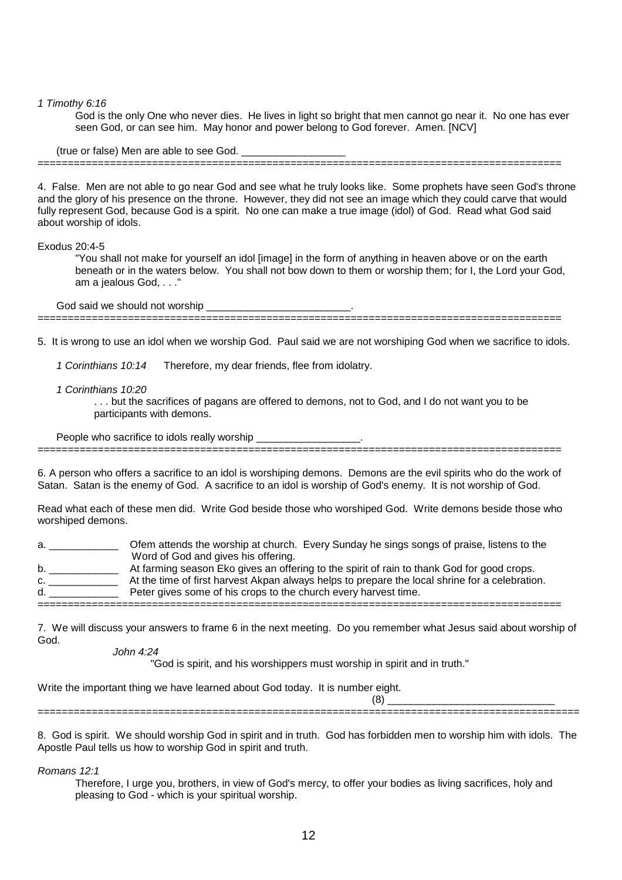1 Timothy 6:16

God is the only One who never dies. He lives in light so bright that men cannot go near it. No one has ever seen God, or can see him. May honor and power belong to God forever. Amen. [NCV]

(true or false) Men are able to see God. =======================================================================================

4. False. Men are not able to go near God and see what he truly looks like. Some prophets have seen God's throne and the glory of his presence on the throne. However, they did not see an image which they could carve that would fully represent God, because God is a spirit. No one can make a true image (idol) of God. Read what God said about worship of idols.

Exodus 20:4-5

"You shall not make for yourself an idol [image] in the form of anything in heaven above or on the earth beneath or in the waters below. You shall not bow down to them or worship them; for I, the Lord your God, am a jealous God, . . ."

God said we should not worship

=======================================================================================

5. It is wrong to use an idol when we worship God. Paul said we are not worshiping God when we sacrifice to idols.

1 Corinthians 10:14 Therefore, my dear friends, flee from idolatry.

1 Corinthians 10:20

. . . but the sacrifices of pagans are offered to demons, not to God, and I do not want you to be participants with demons.

People who sacrifice to idols really worship \_\_\_\_\_\_\_\_\_\_\_

=======================================================================================

6. A person who offers a sacrifice to an idol is worshiping demons. Demons are the evil spirits who do the work of Satan. Satan is the enemy of God. A sacrifice to an idol is worship of God's enemy. It is not worship of God.

Read what each of these men did. Write God beside those who worshiped God. Write demons beside those who worshiped demons.

| а. | Ofem attends the worship at church. Every Sunday he sings songs of praise, listens to the      |
|----|------------------------------------------------------------------------------------------------|
|    | Word of God and gives his offering.                                                            |
| b. | At farming season Eko gives an offering to the spirit of rain to thank God for good crops.     |
| C. | At the time of first harvest Akpan always helps to prepare the local shrine for a celebration. |
| d. | Peter gives some of his crops to the church every harvest time.                                |
|    |                                                                                                |

7. We will discuss your answers to frame 6 in the next meeting. Do you remember what Jesus said about worship of God.

John 4:24

"God is spirit, and his worshippers must worship in spirit and in truth."

Write the important thing we have learned about God today. It is number eight.

 $(8)$ ==========================================================================================

8. God is spirit. We should worship God in spirit and in truth. God has forbidden men to worship him with idols. The Apostle Paul tells us how to worship God in spirit and truth.

Romans 12:1

Therefore, I urge you, brothers, in view of God's mercy, to offer your bodies as living sacrifices, holy and pleasing to God - which is your spiritual worship.